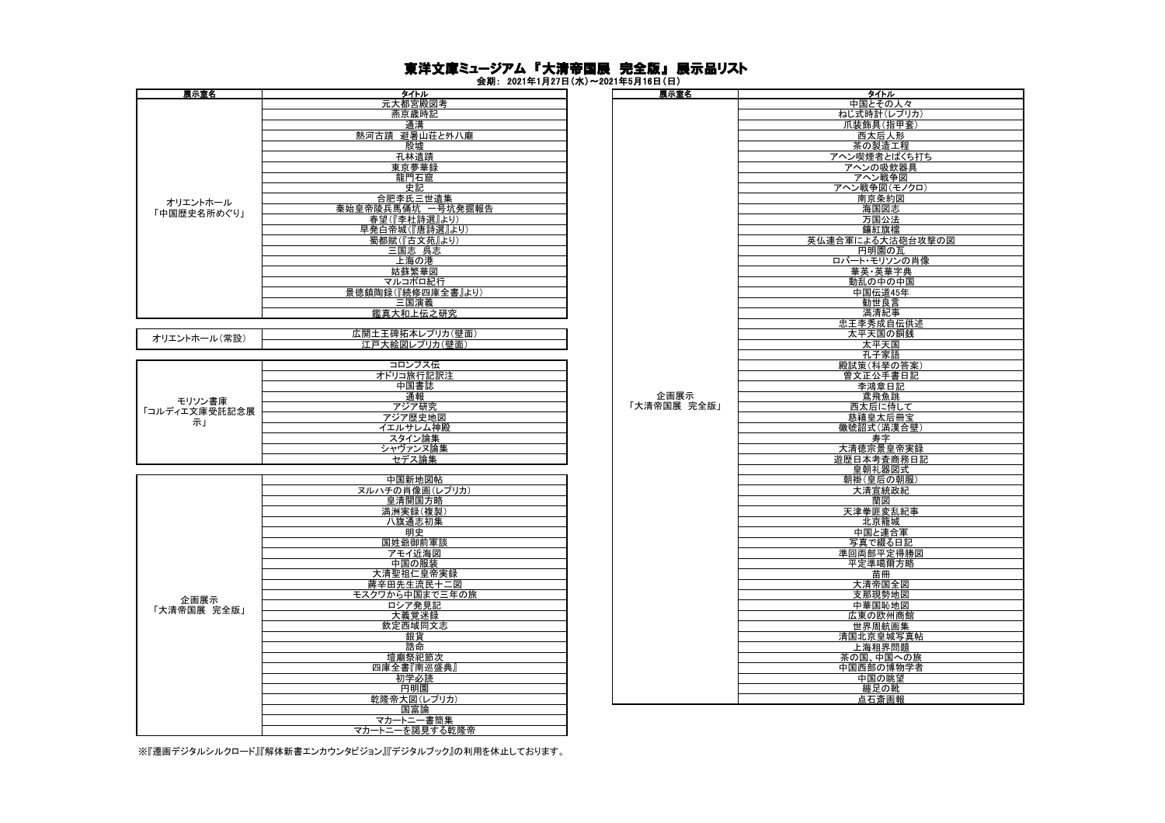## 東洋文庫ミュージアム 『大清帝国展 完全版』 展示品リスト

会期: 2021年1月27日(水)~2021年5月16日(日)

| 展示室名                          | タイトル              | 展示室名        | タイトル       |
|-------------------------------|-------------------|-------------|------------|
|                               | 元大都宮殿図考           |             | 中国とその      |
|                               | 燕京歳時記             |             | ねじ式時計(レ    |
|                               | 通溝                |             | 爪装飾具(指     |
|                               | 熱河古蹟 避暑山荘と外八廟     |             | 西太后人       |
|                               | 殷墟                |             | 茶の製造       |
|                               | 孔林遺蹟              |             | アヘン喫煙者と    |
|                               | <u>東京夢華録</u>      |             | アヘンの吸食     |
|                               | 龍門石窟              |             | アヘン戦争      |
|                               | 史記                |             | アヘン戦争図(    |
|                               | 合肥李氏三世遺集          |             | 南京条約       |
| オリエントホール                      | 秦始皇帝陵兵馬俑坑 一号坑発掘報告 |             | 海国図        |
| 「中国歴史名所めぐり」                   | 春望(『李杜詩選』より)      |             | 万国公        |
|                               | 早発白帝城(『唐詩選』より)    |             | 鑲紅旗        |
|                               | 蜀都賦(『古文苑』より)      |             | 英仏連合軍による大泊 |
|                               |                   |             | 円明園の       |
|                               | 三国志 呉志            |             |            |
|                               | 上海の港              |             | ロバート・モリソ   |
|                               | 姑蘇繁華図             |             | 華英·英華      |
|                               | マルコポロ紀行           |             | 動乱の中の      |
|                               | 景徳鎮陶録(『続修四庫全書』より) |             | 中国伝道4      |
|                               | 三国演義              |             | 勧世良        |
|                               | 鑑真大和上伝之研究         |             | 満清紀        |
|                               |                   |             | 忠王李秀成自     |
| オリエントホール(常設)                  | 広開土王碑拓本レプリカ(壁面)   |             | 太平天国の      |
|                               | 江戸大絵図レプリカ(壁面)     |             | 太平天        |
|                               |                   |             | 孔子家        |
|                               | コロンブス伝            |             | 殿試策(科挙)    |
|                               | オドリコ旅行記訳注         |             | 曽文正公手      |
|                               | 中国書誌              |             | 李鴻章日       |
|                               | 通報                | 企画展示        | 鳶飛魚        |
| モリソン書庫<br>「コルディエ文庫受託記念展<br>示」 | アジア研究             | 「大清帝国展 完全版」 | 西太后に侍      |
|                               | アジア歴史地図           |             | 慈禧皇太后      |
|                               | イエルサレム神殿          |             | 徽號詔式(満)    |
|                               | スタイン論集            |             | 寿字         |
|                               | シャヴァンヌ論集          |             | 大清徳宗景皇     |
|                               | セデス論集             |             | 遊歴日本考査     |
|                               |                   |             | 皇朝礼器       |
|                               | 中国新地図帖            |             | 朝褂(皇后の     |
|                               | ヌルハチの肖像画(レプリカ)    |             | 大清宣統       |
|                               | 皇清開国方略            |             | 蘭図         |
|                               | 満洲実録(複製)          |             | 天津拳匪変      |
|                               | 八旗通志初集            |             | 北京籠        |
|                               | 明史                |             | 中国と連る      |
|                               | 国姓爺御前軍談           |             | 写真で綴る      |
|                               | アモイ近海図            |             | 準回両部平定     |
|                               | 中国の服装             |             | 平定準噶爾      |
|                               | 大清聖祖仁皇帝実録         |             | 苗冊         |
|                               | 蔣辛田先生流民十二図        |             | 大清帝国:      |
|                               | モスクワから中国まで三年の旅    |             | 支那現勢       |
| 企画展示                          | ロシア発見記            |             | 中華国恥       |
| 「大清帝国展 完全版」                   | 大義覚迷録             |             | 広東の欧州      |
|                               | 欽定西域同文志           |             | 世界周航       |
|                               |                   |             |            |
|                               | 銀貨                |             | 清国北京皇城     |
|                               | 誥命                |             | 上海租界       |
|                               | 壇廟祭祀節次            |             | 茶の国、中国     |
|                               | 四庫全書『南巡盛典』        |             | 中国西部の博     |
|                               | 初学必読              |             | 中国の眺       |
|                               | 円明園               |             | 纏足の        |
|                               | 乾隆帝大図(レプリカ)       |             | 点石斎画       |
|                               | 国富論               |             |            |
|                               | マカートニー書簡集         |             |            |
|                               | マカートニーを謁見する乾隆帝    |             |            |

※『遷画デジタルシルクロード』『解体新書エンカウンタビジョン』『デジタルブック』の利用を休止しております。

|                      | - - - - - - - - - - - - |                  |
|----------------------|-------------------------|------------------|
| タイトル                 | 展示室名                    | タイトル             |
| 元大都宮殿図考              |                         | 中国とその人々          |
|                      |                         |                  |
| <u> 燕京歳時記</u>        |                         | ねじ式時計(レプリカ)      |
| 通溝                   |                         | 爪装飾具(指甲套)        |
| 熱河古蹟<br>避暑山荘と外八廟     |                         | 西太后人形            |
|                      |                         |                  |
| 殷墟                   |                         | 茶の製造工程           |
| 孔林遺蹟                 |                         | アヘン喫煙者とばくち打ち     |
|                      |                         |                  |
| 東京夢華録                |                         | アヘンの吸飲器具         |
| 龍門石窟                 |                         | アヘン戦争図           |
| 史記                   |                         | アヘン戦争図 (モノクロ)    |
| 合肥李氏三世遺集             |                         |                  |
|                      |                         | 南京条約図            |
| 秦始皇帝陵兵馬俑坑 一号坑発掘報告    |                         | 海国図志             |
| <u> 春望(『李杜詩選』より)</u> |                         | 万国公法             |
| 早発白帝城(『唐詩選』より)       |                         | 鑲紅旗檔             |
|                      |                         |                  |
| 蜀都賦(『古文苑』より)         |                         | 英仏連合軍による大沽砲台攻撃の図 |
| 三国志 呉志               |                         | 円明園の瓦            |
| 上海の港                 |                         | ロバート・モリソンの肖像     |
|                      |                         |                  |
| 姑蘇繁華図                |                         | 華英·英華字典          |
| マルコポロ紀行              |                         | 動乱の中の中国          |
| 景徳鎮陶録(『続修四庫全書』より)    |                         | 中国伝道45年          |
|                      |                         |                  |
| 三国演義                 |                         | 勧世良言             |
| <u>鑑真大和上伝之研究</u>     |                         | 満清紀事             |
|                      |                         | 忠王李秀成自伝供述        |
| 広開土王碑拓本レプリカ(壁面)      |                         | 太平天国の銅銭          |
|                      |                         |                  |
| 江戸大絵図レプリカ(壁面)        |                         | 太平天国             |
|                      |                         | 孔子家語             |
| コロンブス伝               |                         | 殿試策(科挙の答案)       |
| オドリコ旅行記訳注            |                         | 曽文正公手書日記         |
|                      |                         |                  |
| 中国書誌                 |                         | 李鴻章日記            |
| 通報                   | 企画展示                    | 鳶飛魚跳             |
| アジア研究                | 「大清帝国展 完全版」             | 西太后に侍して          |
| アジア歴史地図              |                         | 慈禧皇太后冊宝          |
|                      |                         |                  |
| イエルサレム神殿             |                         | 徽號詔式(満漢合壁)       |
| スタイン論集               |                         | 寿字               |
| シャヴァンヌ論集             |                         | 大清徳宗景皇帝実録        |
| セデス論集                |                         | 遊歴日本考査商務日記       |
|                      |                         | 皇朝礼器図式           |
|                      |                         |                  |
| 中国新地図帖               |                         | 朝褂(皇后の朝服)        |
| ヌルハチの肖像画(レプリカ)       |                         | 大清宣統政紀           |
| 皇清開国方略               |                         | 蘭図               |
| 満洲実録(複製)             |                         | 天津拳匪変乱紀事         |
|                      |                         |                  |
| 八旗通志初集               |                         | 北京籠城             |
| 明史                   |                         | 中国と連合軍           |
| 国姓爺御前軍談              |                         | 写真で綴る日記          |
| アモイ近海図               |                         | 準回両部平定得勝図        |
|                      |                         |                  |
| 中国の服装                |                         | 平定準噶爾方略          |
| 大清聖祖仁皇帝実録            |                         | 苗冊               |
| 蔣辛田先生流民十二図           |                         | 大清帝国全図           |
|                      |                         | 支那現勢地図           |
| モスクワから中国まで三年の旅       |                         |                  |
| ロシア発見記               |                         | 中華国恥地図           |
| 大義覚迷録                |                         | 広東の欧州商館          |
| 欽定西域同文志              |                         | 世界周航画集           |
| 銀貨                   |                         | 清国北京皇城写真帖        |
|                      |                         |                  |
| 誥命                   |                         | 上海租界問題           |
| 壇廟祭祀節次               |                         | 茶の国、中国への旅        |
| 四庫全書『南巡盛典』           |                         | 中国西部の博物学者        |
|                      |                         | 中国の眺望            |
| 初学必読                 |                         |                  |
| 円明園                  |                         | 纏足の靴             |
| 乾隆帝大図(レプリカ)          |                         | 点石斎画報            |